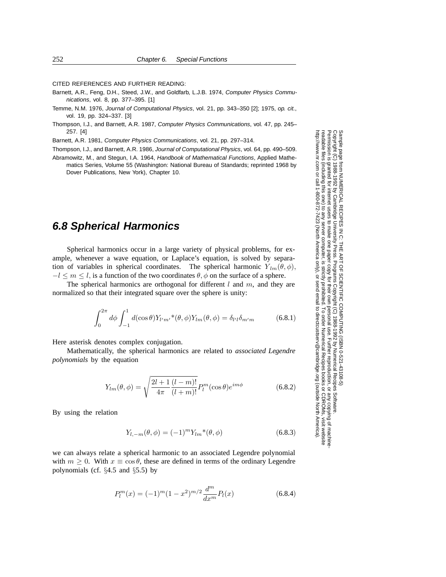CITED REFERENCES AND FURTHER READING:

- Barnett, A.R., Feng, D.H., Steed, J.W., and Goldfarb, L.J.B. 1974, Computer Physics Communications, vol. 8, pp. 377–395. [1]
- Temme, N.M. 1976, Journal of Computational Physics, vol. 21, pp. 343–350 [2]; 1975, op. cit., vol. 19, pp. 324–337. [3]
- Thompson, I.J., and Barnett, A.R. 1987, Computer Physics Communications, vol. 47, pp. 245– 257. [4]

Barnett, A.R. 1981, Computer Physics Communications, vol. 21, pp. 297–314.

Thompson, I.J., and Barnett, A.R. 1986, Journal of Computational Physics, vol. 64, pp. 490–509.

Abramowitz, M., and Stegun, I.A. 1964, Handbook of Mathematical Functions, Applied Mathematics Series, Volume 55 (Washington: National Bureau of Standards; reprinted 1968 by Dover Publications, New York), Chapter 10.

## **6.8 Spherical Harmonics**

Spherical harmonics occur in a large variety of physical problems, for example, whenever a wave equation, or Laplace's equation, is solved by separation of variables in spherical coordinates. The spherical harmonic  $Y_{lm}(\theta, \phi)$ ,  $-l \leq m \leq l$ , is a function of the two coordinates  $\theta$ ,  $\phi$  on the surface of a sphere.

The spherical harmonics are orthogonal for different  $l$  and  $m$ , and they are normalized so that their integrated square over the sphere is unity:

$$
\int_0^{2\pi} d\phi \int_{-1}^1 d(\cos \theta) Y_{l'm'}^* (\theta, \phi) Y_{lm}(\theta, \phi) = \delta_{l'l} \delta_{m'm}
$$
 (6.8.1)

Here asterisk denotes complex conjugation.

Mathematically, the spherical harmonics are related to *associated Legendre polynomials* by the equation

$$
Y_{lm}(\theta,\phi) = \sqrt{\frac{2l+1}{4\pi} \frac{(l-m)!}{(l+m)!}} P_l^m(\cos\theta) e^{im\phi}
$$
 (6.8.2)

By using the relation

$$
Y_{l,-m}(\theta,\phi) = (-1)^m Y_{lm}^*(\theta,\phi)
$$
\n(6.8.3)

we can always relate a spherical harmonic to an associated Legendre polynomial with  $m > 0$ . With  $x \equiv \cos \theta$ , these are defined in terms of the ordinary Legendre polynomials (cf. §4.5 and §5.5) by

$$
P_l^m(x) = (-1)^m (1 - x^2)^{m/2} \frac{d^m}{dx^m} P_l(x)
$$
\n(6.8.4)

Sample page fr<br>Copyright (C) 1<br>Permission is g Copyright (C) 1988-1992 by Cambridge University Press.Sample page from NUMERICAL RECIPES IN C: THE ART OF SCIENTIFIC COMPUTING (ISBN 0-521-43108-5) http://www.nr.com or call 1-800-872-7423 (North America only),readable files (including this one) to any serverPermission is granted for internet users to make one paper copy for their own personal use. Further reproduction, or any copyin from NUMERICAL RECIPES IN C: THE ART OF SCIENTIFIC COMPUTING (ISBN 0-521-43108-5)<br>1988-1992 by Cambridge University Press. Programs Copyright (C) 1989-1992 by Numerical Recipes Software computer, is strictly prohibited. To order Numerical Recipes booksPrograms Copyright (C) 1988-1992 by Numerical Recipes Software. or send email to directcustserv@cambridge.org (outside North America). or CDROMs, visit website g of machine-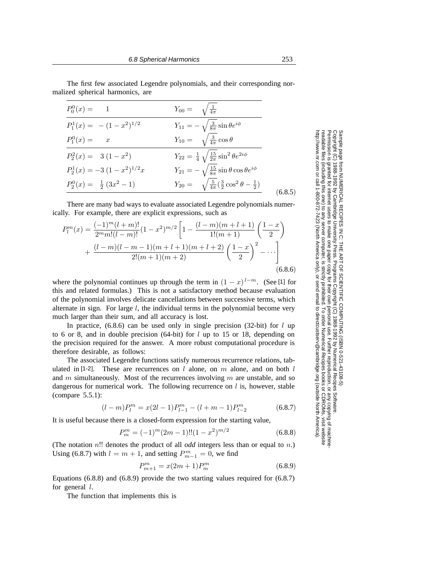The first few associated Legendre polynomials, and their corresponding normalized spherical harmonics, are

| $Y_{11} = -\sqrt{\frac{3}{8\pi}}\sin\theta e^{i\phi}$<br>$P_1^1(x) = - (1 - x^2)^{1/2}$                          |         |
|------------------------------------------------------------------------------------------------------------------|---------|
| $Y_{10} = \sqrt{\frac{3}{4\pi}} \cos \theta$<br>$P_1^0(x) = x$                                                   |         |
| $Y_{22} = \frac{1}{4} \sqrt{\frac{15}{2\pi}} \sin^2 \theta e^{2i\phi}$<br>$P_2^2(x) = 3(1-x^2)$                  |         |
| $Y_{21} = -\sqrt{\frac{15}{8\pi}}\sin\theta\cos\theta e^{i\phi}$<br>$P_2^1(x) = -3(1-x^2)^{1/2}x$                |         |
| $Y_{20} = \sqrt{\frac{5}{4\pi}} (\frac{3}{2} \cos^2 \theta - \frac{1}{2})$<br>$P_2^0(x) = \frac{1}{2}(3x^2 - 1)$ | (6.8.5) |

There are many bad ways to evaluate associated Legendre polynomials numerically. For example, there are explicit expressions, such as

$$
P_l^m(x) = \frac{(-1)^m (l+m)!}{2^m m! (l-m)!} (1-x^2)^{m/2} \left[ 1 - \frac{(l-m)(m+l+1)}{1!(m+1)} \left( \frac{1-x}{2} \right) + \frac{(l-m)(l-m-1)(m+l+1)(m+l+2)}{2!(m+1)(m+2)} \left( \frac{1-x}{2} \right)^2 - \cdots \right]
$$
(6.8.6)

where the polynomial continues up through the term in  $(1 - x)^{l - m}$ . (See [1] for this and related formulas.) This is not a satisfactory method because evaluation of the polynomial involves delicate cancellations between successive terms, which alternate in sign. For large  $l$ , the individual terms in the polynomial become very much larger than their sum, and all accuracy is lost.

In practice,  $(6.8.6)$  can be used only in single precision  $(32-bit)$  for l up to 6 or 8, and in double precision  $(64-bit)$  for l up to 15 or 18, depending on the precision required for the answer. A more robust computational procedure is therefore desirable, as follows:

The associated Legendre functions satisfy numerous recurrence relations, tabulated in [1-2]. These are recurrences on  $l$  alone, on  $m$  alone, and on both  $l$ and  $m$  simultaneously. Most of the recurrences involving  $m$  are unstable, and so dangerous for numerical work. The following recurrence on  $l$  is, however, stable (compare 5.5.1):

$$
(l-m)P_l^m = x(2l-1)P_{l-1}^m - (l+m-1)P_{l-2}^m \tag{6.8.7}
$$

It is useful because there is a closed-form expression for the starting value,

$$
P_m^m = (-1)^m (2m - 1)!! (1 - x^2)^{m/2}
$$
\n(6.8.8)

(The notation n!! denotes the product of all *odd* integers less than or equal to n.) Using (6.8.7) with  $l = m + 1$ , and setting  $P_{m-1}^m = 0$ , we find

$$
P_{m+1}^{m} = x(2m+1)P_m^m \tag{6.8.9}
$$

Equations  $(6.8.8)$  and  $(6.8.9)$  provide the two starting values required for  $(6.8.7)$ for general  $l$ .

The function that implements this is

Permission is granted for internet users to make one paper copy for their own personal use. Further reproduction, or any copyin

computer, is strictly prohibited. To order Numerical Recipes books

or send email to directcustserv@cambridge.org (outside North America).

Sample page from NUMERICAL RECIPES IN C: THE ART OF SCIENTIFIC COMPUTING (ISBN 0-521-43108-5)

Programs Copyright (C) 1988-1992 by Numerical Recipes Software.

g of machine-

or CDROMs, visit website

Copyright (C) 1988-1992 by Cambridge University Press.

readable files (including this one) to any server

http://www.nr.com or call 1-800-872-7423 (North America only),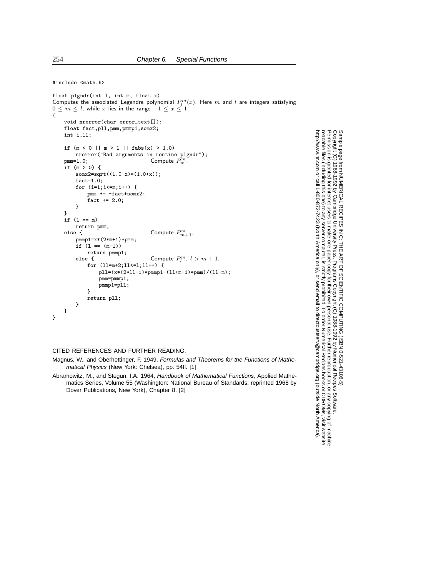#include <math.h>

```
float plgndr(int l, int m, float x)
Computes the associated Legendre polynomial P_l^m(x). Here m and l are integers satisfying
0 \leq m \leq l, while x lies in the range -1 \leq x \leq 1.
{
    void nrerror(char error_text[]);
    float fact,pll,pmm,pmmp1,somx2;
    int i,ll;
    if (m < 0 || m > 1 || fabs(x) > 1.0)nrerror("Bad arguments in routine plgndr");<br>
pmm=1.0;<br>
Compute P_m^m.
    if (m > 0) {
        somx2=sqrt((1.0-x)*(1.0+x));
        fact=1.0;
        for (i=1;i<=m;i++) {
            pmm *= -fact*somx2;
            factor + = 2.0;}
    }
    if (l == m)
    return pmm;<br>else {
    else { \qquad \qquad \text{Compute } P_{m+1}^m.pmmp1=x*(2*m+1)*pmm;
        if (1 == (m+1))return pmmp1;<br>else {
        else { Compute P_l^m, l > m + 1.
            for (ll=m+2;ll<=l;ll++) {
                pll=(x*(2*ll-1)*pmmp1-(ll+m-1)*pmm)/(ll-m);
                pmm=pmmp1;
                pmmp1=pll;
            }
            return pll;
        }
    }
}
```
## CITED REFERENCES AND FURTHER READING:

Magnus, W., and Oberhettinger, F. 1949, Formulas and Theorems for the Functions of Mathematical Physics (New York: Chelsea), pp. 54ff. [1]

Abramowitz, M., and Stegun, I.A. 1964, Handbook of Mathematical Functions, Applied Mathematics Series, Volume 55 (Washington: National Bureau of Standards; reprinted 1968 by Dover Publications, New York), Chapter 8. [2]

Permission is granted for internet users to make one paper copy for their own personal use. Further reproduction, or any copyin Copyright (C) 1988-1992 by Cambridge University Press.Programs Copyright (C) 1988-1992 by Numerical Recipes Software. Sample page from NUMERICAL RECIPES IN C: THE ART OF SCIENTIFIC COMPUTING (ISBN 0-521-43108-5) g of machinereadable files (including this one) to any servercomputer, is strictly prohibited. To order Numerical Recipes booksor CDROMs, visit website http://www.nr.com or call 1-800-872-7423 (North America only),or send email to directcustserv@cambridge.org (outside North America).